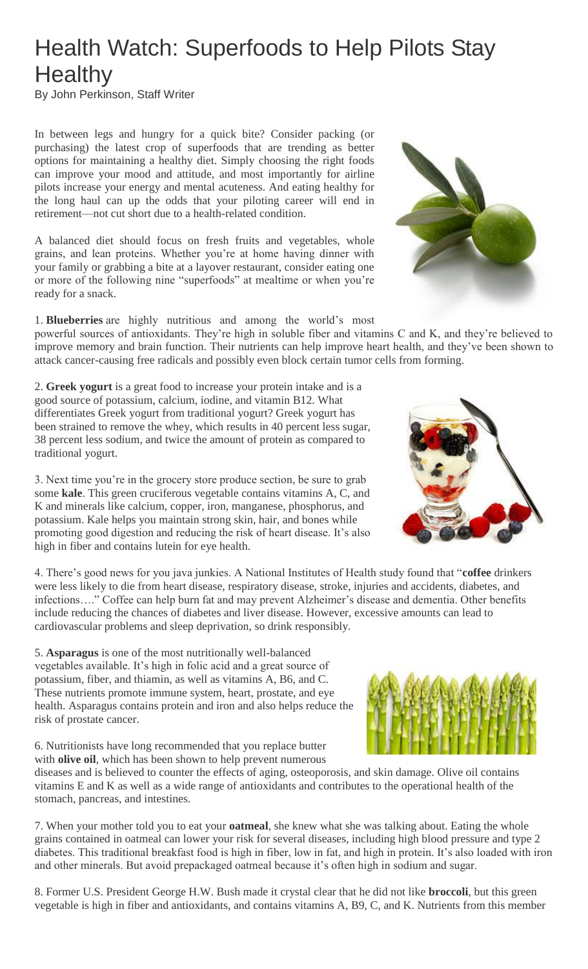## Health Watch: Superfoods to Help Pilots Stay **Healthy**

By John Perkinson, Staff Writer

In between legs and hungry for a quick bite? Consider packing (or purchasing) the latest crop of superfoods that are trending as better options for maintaining a healthy diet. Simply choosing the right foods can improve your mood and attitude, and most importantly for airline pilots increase your energy and mental acuteness. And eating healthy for the long haul can up the odds that your piloting career will end in retirement—not cut short due to a health-related condition.

A balanced diet should focus on fresh fruits and vegetables, whole grains, and lean proteins. Whether you're at home having dinner with your family or grabbing a bite at a layover restaurant, consider eating one or more of the following nine "superfoods" at mealtime or when you're ready for a snack.

1. **Blueberries** are highly nutritious and among the world's most powerful sources of antioxidants. They're high in soluble fiber and vitamins C and K, and they're believed to improve memory and brain function. Their nutrients can help improve heart health, and they've been shown to attack cancer-causing free radicals and possibly even block certain tumor cells from forming.

2. **Greek yogurt** is a great food to increase your protein intake and is a good source of potassium, calcium, iodine, and vitamin B12. What differentiates Greek yogurt from traditional yogurt? Greek yogurt has been strained to remove the whey, which results in 40 percent less sugar, 38 percent less sodium, and twice the amount of protein as compared to traditional yogurt.

3. Next time you're in the grocery store produce section, be sure to grab some **kale**. This green cruciferous vegetable contains vitamins A, C, and K and minerals like calcium, copper, iron, manganese, phosphorus, and potassium. Kale helps you maintain strong skin, hair, and bones while promoting good digestion and reducing the risk of heart disease. It's also high in fiber and contains lutein for eye health.

4. There's good news for you java junkies. A National Institutes of Health study found that "**coffee** drinkers were less likely to die from heart disease, respiratory disease, stroke, injuries and accidents, diabetes, and infections…." Coffee can help burn fat and may prevent Alzheimer's disease and dementia. Other benefits include reducing the chances of diabetes and liver disease. However, excessive amounts can lead to cardiovascular problems and sleep deprivation, so drink responsibly.

5. **Asparagus** is one of the most nutritionally well-balanced vegetables available. It's high in folic acid and a great source of potassium, fiber, and thiamin, as well as vitamins A, B6, and C. These nutrients promote immune system, heart, prostate, and eye health. Asparagus contains protein and iron and also helps reduce the risk of prostate cancer.

6. Nutritionists have long recommended that you replace butter with **olive oil**, which has been shown to help prevent numerous

diseases and is believed to counter the effects of aging, osteoporosis, and skin damage. Olive oil contains vitamins E and K as well as a wide range of antioxidants and contributes to the operational health of the stomach, pancreas, and intestines.

7. When your mother told you to eat your **oatmeal**, she knew what she was talking about. Eating the whole grains contained in oatmeal can lower your risk for several diseases, including high blood pressure and type 2 diabetes. This traditional breakfast food is high in fiber, low in fat, and high in protein. It's also loaded with iron and other minerals. But avoid prepackaged oatmeal because it's often high in sodium and sugar.

8. Former U.S. President George H.W. Bush made it crystal clear that he did not like **broccoli**, but this green vegetable is high in fiber and antioxidants, and contains vitamins A, B9, C, and K. Nutrients from this member